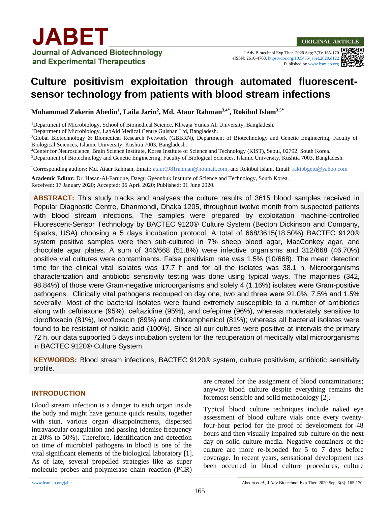

#### **ORIGINAL ARTICLE**

J Adv Biotechnol Exp Ther. 2020 Sep; 3(3): 165-170 eISSN: 2616-4760[, https://doi.org/10.5455/jabet.2020.d122](https://doi.org/10.5455/jabet.2020.d122) Published b[y www.bsmiab.org](http://www.bsmiab.org/)

# **Culture positivism exploitation through automated fluorescentsensor technology from patients with blood stream infections**

**Mohammad Zakerin Abedin<sup>1</sup> , Laila Jarin<sup>2</sup> , Md. Ataur Rahman3,4\*, Rokibul Islam3,5\***

<sup>1</sup>Department of Microbiology, School of Biomedical Science, Khwaja Yunus Ali University, Bangladesh.

<sup>2</sup>Department of Microbiology, LabAid Medical Centre Gulshan Ltd, Bangladesh.

<sup>3</sup>Global Biotechnology & Biomedical Research Network (GBBRN), Department of Biotechnology and Genetic Engineering, Faculty of Biological Sciences, Islamic University, Kushtia 7003, Bangladesh.

<sup>4</sup>Center for Neuroscience, Brain Science Institute, Korea Institute of Science and Technology (KIST), Seoul, 02792, South Korea. <sup>5</sup>Department of Biotechnology and Genetic Engineering, Faculty of Biological Sciences, Islamic University, Kushtia 7003, Bangladesh.

\*Corresponding authors: Md. Ataur Rahman, Email[: ataur1981rahman@hotmail.com,](mailto:ataur1981rahman@hotmail.com) and Rokibul Islam, Email: [rakibbgeiu@yahoo.com](mailto:rakibbgeiu@yahoo.com)

**Academic Editor:** Dr. Hasan-Al-Faruque, Daegu Gyeonbuk Institute of Science and Technology, South Korea. Received: 17 January 2020; Accepted: 06 April 2020; Published: 01 June 2020.

**ABSTRACT:** This study tracks and analyses the culture results of 3615 blood samples received in Popular Diagnostic Centre, Dhanmondi, Dhaka 1205, throughout twelve month from suspected patients with blood stream infections. The samples were prepared by exploitation machine-controlled Fluorescent-Sensor Technology by BACTEC 9120® Culture System (Becton Dickinson and Company, Sparks, USA) choosing a 5 days incubation protocol. A total of 668/3615(18.50%) BACTEC 9120® system positive samples were then sub-cultured in 7% sheep blood agar, MacConkey agar, and chocolate agar plates. A sum of 346/668 (51.8%) were infective organisms and 312/668 (46.70%) positive vial cultures were contaminants. False positivism rate was 1.5% (10/668). The mean detection time for the clinical vital isolates was 17.7 h and for all the isolates was 38.1 h. Microorganisms characterization and antibiotic sensitivity testing was done using typical ways. The majorities (342, 98.84%) of those were Gram-negative microorganisms and solely 4 (1.16%) isolates were Gram-positive pathogens. Clinically vital pathogens recouped on day one, two and three were 91.0%, 7.5% and 1.5% severally. Most of the bacterial isolates were found extremely susceptible to a number of antibiotics along with ceftriaxone (95%), ceftazidine (95%), and cefepime (96%), whereas moderately sensitive to ciprofloxacin (81%), levofloxacin (89%) and chloramphenicol (81%); whereas all bacterial isolates were found to be resistant of nalidic acid (100%). Since all our cultures were positive at intervals the primary 72 h, our data supported 5 days incubation system for the recuperation of medically vital microorganisms in BACTEC 9120® Culture System.

**KEYWORDS:** Blood stream infections, BACTEC 9120® system, culture positivism, antibiotic sensitivity profile.

#### **INTRODUCTION**

Blood stream infection is a danger to each organ inside the body and might have genuine quick results, together with stun, various organ disappointments, dispersed intravascular coagulation and passing (demise frequency at 20% to 50%). Therefore, identification and detection on time of microbial pathogens in blood is one of the vital significant elements of the biological laboratory [1]. As of late, several propelled strategies like as super molecule probes and polymerase chain reaction (PCR)

are created for the assignment of blood contaminations; anyway blood culture despite everything remains the foremost sensible and solid methodology [2].

Typical blood culture techniques include naked eye assessment of blood culture vials once every twentyfour-hour period for the proof of development for 48 hours and then visually impaired sub-culture on the next day on solid culture media. Negative containers of the culture are more re-brooded for 5 to 7 days before coverage. In recent years, sensational development has been occurred in blood culture procedures, culture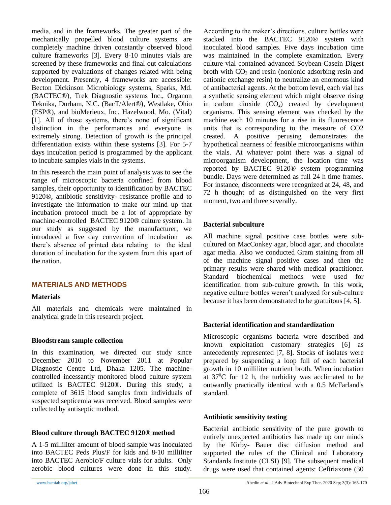media, and in the frameworks. The greater part of the mechanically propelled blood culture systems are completely machine driven constantly observed blood culture frameworks [3]. Every 8-10 minutes vials are screened by these frameworks and final out calculations supported by evaluations of changes related with being development. Presently, 4 frameworks are accessible: Becton Dickinson Microbiology systems, Sparks, Md. (BACTEC®), Trek Diagnostic systems Inc., Organon Teknika, Durham, N.C. (BacT/Alert®), Westlake, Ohio (ESP®), and bioMerieux, Inc. Hazelwood, Mo. (Vital) [1]. All of those systems, there's none of significant distinction in the performances and everyone is extremely strong. Detection of growth is the principal differentiation exists within these systems [3]. For 5-7 days incubation period is programmed by the applicant to incubate samples vials in the systems.

In this research the main point of analysis was to see the range of microscopic bacteria confined from blood samples, their opportunity to identification by BACTEC 9120®, antibiotic sensitivity- resistance profile and to investigate the information to make our mind up that incubation protocol much be a lot of appropriate by machine-controlled BACTEC 9120® culture system. In our study as suggested by the manufacturer, we introduced a five day convention of incubation as there's absence of printed data relating to the ideal duration of incubation for the system from this apart of the nation.

#### **MATERIALS AND METHODS**

#### **Materials**

All materials and chemicals were maintained in analytical grade in this research project.

#### **Bloodstream sample collection**

In this examination, we directed our study since December 2010 to November 2011 at Popular Diagnostic Centre Ltd, Dhaka 1205. The machinecontrolled incessantly monitored blood culture system utilized is BACTEC 9120®. During this study, a complete of 3615 blood samples from individuals of suspected septicemia was received. Blood samples were collected by antiseptic method.

#### **Blood culture through BACTEC 9120® method**

A 1-5 milliliter amount of blood sample was inoculated into BACTEC Peds Plus/F for kids and 8-10 milliliter into BACTEC Aerobic/F culture vials for adults. Only aerobic blood cultures were done in this study. According to the maker's directions, culture bottles were stacked into the BACTEC 9120® system with inoculated blood samples. Five days incubation time was maintained in the complete examination. Every culture vial contained advanced Soybean-Casein Digest broth with  $CO<sub>2</sub>$  and resin (nonionic adsorbing resin and cationic exchange resin) to neutralize an enormous kind of antibacterial agents. At the bottom level, each vial has a synthetic sensing element which might observe rising in carbon dioxide  $(CO<sub>2</sub>)$  created by development organisms. This sensing element was checked by the machine each 10 minutes for a rise in its fluorescence units that is corresponding to the measure of CO2 created. A positive perusing demonstrates the hypothetical nearness of feasible microorganisms within the vials. At whatever point there was a signal of microorganism development, the location time was reported by BACTEC 9120® system programming bundle. Days were determined as full 24 h time frames. For instance, disconnects were recognized at 24, 48, and 72 h thought of as distinguished on the very first moment, two and three severally.

## **Bacterial subculture**

All machine signal positive case bottles were subcultured on MacConkey agar, blood agar, and chocolate agar media. Also we conducted Gram staining from all of the machine signal positive cases and then the primary results were shared with medical practitioner. Standard biochemical methods were used for identification from sub-culture growth. In this work, negative culture bottles weren't analyzed for sub-culture because it has been demonstrated to be gratuitous [4, 5].

#### **Bacterial identification and standardization**

Microscopic organisms bacteria were described and known exploitation customary strategies [6] as antecedently represented [7, 8]. Stocks of isolates were prepared by suspending a loop full of each bacterial growth in 10 milliliter nutrient broth. When incubation at  $37^{\circ}$ C for 12 h, the turbidity was acclimated to be outwardly practically identical with a 0.5 McFarland's standard.

#### **Antibiotic sensitivity testing**

Bacterial antibiotic sensitivity of the pure growth to entirely unexpected antibiotics has made up our minds by the Kirby- Bauer disc diffusion method and supported the rules of the Clinical and Laboratory Standards Institute (CLSI) [9]. The subsequent medical drugs were used that contained agents: Ceftriaxone (30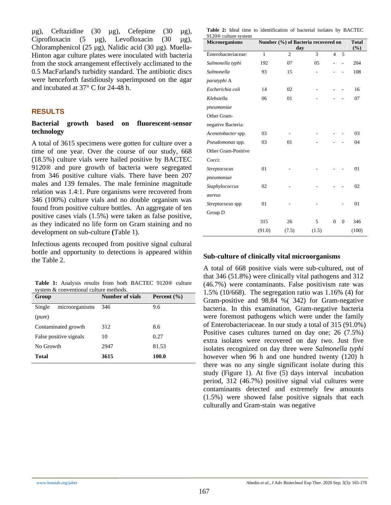µg), Ceftazidine (30 µg), Cefepime (30 µg), Ciprofloxacin (5  $\mu$ g), Levofloxacin (30  $\mu$ g), Chloramphenicol (25 µg), Nalidic acid (30 µg). Muella-Hinton agar culture plates were inoculated with bacteria from the stock arrangement effectively acclimated to the 0.5 MacFarland's turbidity standard. The antibiotic discs were henceforth fastidiously superimposed on the agar and incubated at 37° C for 24-48 h.

#### **RESULTS**

#### **Bacterial growth based on fluorescent-sensor technology**

A total of 3615 specimens were gotten for culture over a time of one year. Over the course of our study, 668 (18.5%) culture vials were hailed positive by BACTEC 9120® and pure growth of bacteria were segregated from 346 positive culture vials. There have been 207 males and 139 females. The male feminine magnitude relation was 1.4:1. Pure organisms were recovered from 346 (100%) culture vials and no double organism was found from positive culture bottles. An aggregate of ten positive cases vials (1.5%) were taken as false positive, as they indicated no life form on Gram staining and no development on sub-culture **(**Table 1).

Infectious agents recouped from positive signal cultural bottle and opportunity to detections is appeared within the Table 2.

**Table 1:** Analysis results from both BACTEC 9120® culture system & conventional culture methods.

| Group                    | Number of vials | Percent $(\% )$ |
|--------------------------|-----------------|-----------------|
| Single<br>microorganisms | 346             | 9.6             |
| (pure)                   |                 |                 |
| Contaminated growth      | 312             | 8.6             |
| False positive signals   | 10              | 0.27            |
| No Growth                | 2947            | 81.53           |
| Total                    | 3615            | 100.0           |

**Table 2:** Ideal time to identification of bacterial isolates by BACTEC 9120® culture system

| Microorganisms      | Number (%) of Bacteria recovered on | <b>Total</b><br>$(\%)$ |       |                |                  |       |
|---------------------|-------------------------------------|------------------------|-------|----------------|------------------|-------|
| Enterobacteriaceae: | $\mathbf{1}$                        | $\overline{2}$         | 3     | $\overline{4}$ | 5                |       |
| Salmonella typhi    | 192                                 | 07                     | 05    |                |                  | 204   |
| Salmonella          | 93                                  | 15                     |       |                |                  | 108   |
| paratyphi A         |                                     |                        |       |                |                  |       |
| Escherichia coli    | 14                                  | 02                     |       |                |                  | 16    |
| Klebsiella          | 06                                  | 01                     |       |                |                  | 07    |
| pneumoniae          |                                     |                        |       |                |                  |       |
| Other Gram-         |                                     |                        |       |                |                  |       |
| negative Bacteria:  |                                     |                        |       |                |                  |       |
| Acenetobacter spp.  | 03                                  |                        |       |                |                  | 03    |
| Pseudomonas spp.    | 03                                  | 01                     |       |                |                  | 04    |
| Other Gram-Positive |                                     |                        |       |                |                  |       |
| Cocci:              |                                     |                        |       |                |                  |       |
| Streptococus        | 01                                  |                        |       |                |                  | 01    |
| pneumoniae          |                                     |                        |       |                |                  |       |
| Staphylococcus      | 02                                  |                        |       |                |                  | 02    |
| aureus              |                                     |                        |       |                |                  |       |
| Streptococus spp    | 01                                  |                        |       |                |                  | 01    |
| Group D             |                                     |                        |       |                |                  |       |
|                     | 315                                 | 26                     | 5     | $\overline{0}$ | $\boldsymbol{0}$ | 346   |
|                     | (91.0)                              | (7.5)                  | (1.5) |                |                  | (100) |

#### **Sub-culture of clinically vital microorganisms**

A total of 668 positive vials were sub-cultured, out of that 346 (51.8%) were clinically vital pathogens and 312 (46.7%) were contaminants. False positivism rate was 1.5% (10/668). The segregation ratio was 1.16% (4) for Gram-positive and 98.84 %( 342) for Gram-negative bacteria. In this examination, Gram-negative bacteria were foremost pathogens which were under the family of Enterobacteriaceae. In our study a total of 315 (91.0%) Positive cases cultures turned on day one; 26 (7.5%) extra isolates were recovered on day two. Just five isolates recognized on day three were *Salmonella typhi*  however when 96 h and one hundred twenty (120) h there was no any single significant isolate during this study (Figure 1). At five (5) days interval incubation period, 312 (46.7%) positive signal vial cultures were contaminants detected and extremely few amounts (1.5%) were showed false positive signals that each culturally and Gram-stain was negative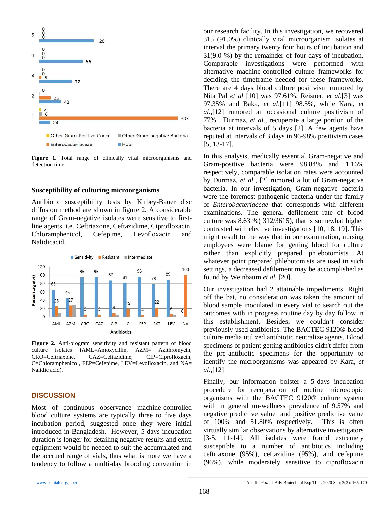

**Figure 1.** Total range of clinically vital microorganisms and detection time.

#### **Susceptibility of culturing microorganisms**

Antibiotic susceptibility tests by Kirbey-Bauer disc diffusion method are shown in figure 2. A considerable range of Gram-negative isolates were sensitive to firstline agents, i.e. Ceftriaxone, Ceftazidime, Ciprofloxacin, Chloramphenicol, Cefepime, Levofloxacin and Nalidicacid.



**Figure 2.** Anti-biogram sensitivity and resistant pattern of blood culture isolates **(**AML=Amoxycillin, AZM= Azithromycin, CRO=Ceftriaxone, CAZ=Ceftazidime, CIP=Ciprofloxacin, C=Chloramphenicol, FEP=Cefepime, LEV=Levofloxacin, and NA= Nalidic acid).

#### **DISCUSSION**

Most of continuous observance machine-controlled blood culture systems are typically three to five days incubation period, suggested once they were initial introduced in Bangladesh. However, 5 days incubation duration is longer for detailing negative results and extra equipment would be needed to suit the accumulated and the accrued range of vials, thus what is more we have a tendency to follow a multi-day brooding convention in our research facility. In this investigation, we recovered 315 (91.0%) clinically vital microorganism isolates at interval the primary twenty four hours of incubation and 31(9.0 %) by the remainder of four days of incubation. Comparable investigations were performed with alternative machine-controlled culture frameworks for deciding the timeframe needed for these frameworks. There are 4 days blood culture positivism rumored by Nita Pal *et al* [10] was 97.61%, Reisner, *et al*.[3] was 97.35% and Baka, *et al*.[11] 98.5%, while Kara, *et al*.,[12] rumored an occasional culture positivism of 77%. Durmaz, *et al*., recuperate a large portion of the bacteria at intervals of 5 days [2]. A few agents have reputed at intervals of 3 days in 96-98% positivism cases [5, 13-17].

In this analysis, medically essential Gram-negative and Gram-positive bacteria were 98.84% and 1.16% respectively, comparable isolation rates were accounted by Durmaz, *et al*., [2] rumored a lot of Gram-negative bacteria. In our investigation, Gram-negative bacteria were the foremost pathogenic bacteria under the family of *Enterobacteriaceae* that corresponds with different examinations. The general defilement rate of blood culture was 8.63 %( 312/3615), that is somewhat higher contrasted with elective investigations [10, 18, 19]. This might result to the way that in our examination, nursing employees were blame for getting blood for culture rather than explicitly prepared phlebotomists. At whatever point prepared phlebotomists are used in such settings, a decreased defilement may be accomplished as found by Weinbaum *et al.* [20].

Our investigation had 2 attainable impediments. Right off the bat, no consideration was taken the amount of blood sample inoculated in every vial to search out the outcomes with in progress routine day by day follow in this establishment. Besides, we couldn't consider previously used antibiotics. The BACTEC 9120® blood culture media utilized antibiotic neutralize agents. Blood specimens of patient getting antibiotics didn't differ from the pre-antibiotic specimens for the opportunity to identify the microorganisms was appeared by Kara*, et al*.,[12]

Finally, our information bolster a 5-days incubation procedure for recuperation of routine microscopic organisms with the BACTEC 9120® culture system with in general un-wellness prevalence of 9.57% and negative predictive value and positive predictive value of 100% and 51.80% respectively. This is often virtually similar observations by alternative investigators [3-5, 11-14]. All isolates were found extremely susceptible to a number of antibiotics including ceftriaxone (95%), ceftazidine (95%), and cefepime (96%), while moderately sensitive to ciprofloxacin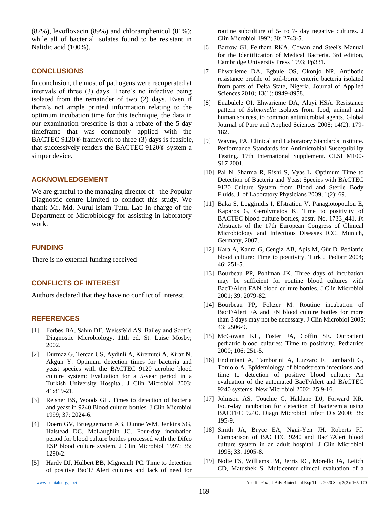(87%), levofloxacin (89%) and chloramphenicol (81%); while all of bacterial isolates found to be resistant in Nalidic acid (100%).

#### **CONCLUSIONS**

In conclusion, the most of pathogens were recuperated at intervals of three (3) days. There's no infective being isolated from the remainder of two (2) days. Even if there's not ample printed information relating to the optimum incubation time for this technique, the data in our examination prescribe is that a rebate of the 5-day timeframe that was commonly applied with the BACTEC 9120® framework to three (3) days is feasible, that successively renders the BACTEC 9120® system a simper device.

## **ACKNOWLEDGEMENT**

We are grateful to the managing director of the Popular Diagnostic centre Limited to conduct this study. We thank Mr. Md. Nurul Islam Tutul Lab In charge of the Department of Microbiology for assisting in laboratory work.

## **FUNDING**

There is no external funding received

## **CONFLICTS OF INTEREST**

Authors declared that they have no conflict of interest.

#### **REFERENCES**

- [1] Forbes BA, Sahm DF, Weissfeld AS. Bailey and Scott's Diagnostic Microbiology. 11th ed. St. Luise Mosby; 2002.
- [2] Durmaz G, Tercan US, Aydinli A, Kiremitci A, Kiraz N, Akgun Y. Optimum detection times for bacteria and yeast species with the BACTEC 9120 aerobic blood culture system: Evaluation for a 5-year period in a Turkish University Hospital. J Clin Microbiol 2003; 41:819-21.
- [3] Reisner BS, Woods GL. Times to detection of bacteria and yeast in 9240 Blood culture bottles. J Clin Microbiol 1999; 37: 2024-6.
- [4] Doern GV, Brueggemann AB, Dunne WM, Jenkins SG, Halstead DC, McLaughlin JC. Four-day incubation period for blood culture bottles processed with the Difco ESP blood culture system. J Clin Microbiol 1997; 35: 1290-2.
- [5] Hardy DJ, Hulbert BB, Migneault PC. Time to detection of positive BacT/ Alert cultures and lack of need for

routine subculture of 5- to 7- day negative cultures. J Clin Microbiol 1992; 30: 2743-5.

- [6] Barrow GI, Feltham RKA. Cowan and Steel's Manual for the Identification of Medical Bacteria. 3rd edition, Cambridge University Press 1993; Pp331.
- [7] Ehwarieme DA, Egbule OS, Okonjo NP. Antibotic resistance profile of soil-borne enteric bacteria isolated from parts of Delta State, Nigeria. Journal of Applied Sciences 2010; 13(1): 8949-8958.
- [8] Enabulele OI, Ehwarieme DA, Aluyi HSA. Resistance pattern of *Salmonella* isolates from food, animal and human sources, to common antimicrobial agents. Global Journal of Pure and Applied Sciences 2008; 14(2): 179- 182.
- [9] Wayne, PA. Clinical and Laboratory Standards Institute. Performance Standards for Antimicrobial Susceptibility Testing. 17th International Supplement. CLSI M100- S17 2001.
- [10] Pal N, Sharma R, Rishi S, Vyas L. Optimum Time to Detection of Bacteria and Yeast Species with BACTEC 9120 Culture System from Blood and Sterile Body Fluids. J. of Laboratory Physicians 2009; 1(2): 69.
- [11] Baka S, Logginidis I, Efstratiou V, Panagiotopoulou E, Kaparos G, Gerolymatos K. Time to positivity of BACTEC blood culture bottles, abstr. No. 1733\_441. *In*  Abstracts of the 17th European Congress of Clinical Microbiology and Infectious Diseases ICC, Munich, Germany, 2007.
- [12] Kara A, Kanra G, Cengiz AB, Apis M, Gür D. Pediatric blood culture: Time to positivity. Turk J Pediatr 2004; 46: 251-5.
- [13] Bourbeau PP, Pohlman JK. Three days of incubation may be sufficient for routine blood cultures with BacT/Alert FAN blood culture bottles. J Clin Microbiol 2001; 39: 2079-82.
- [14] Bourbeau PP, Foltzer M. Routine incubation of BacT/Alert FA and FN blood culture bottles for more than 3 days may not be necessary. J Clin Microbiol 2005; 43: 2506-9.
- [15] McGowan KL, Foster JA, Coffin SE. Outpatient pediatric blood cultures: Time to positivity. Pediatrics 2000; 106: 251-5.
- [16] Endimiani A, Tamborini A, Luzzaro F, Lombardi G, Toniolo A. Epidemiology of bloodstream infections and time to detection of positive blood culture: An evaluation of the automated BacT/Alert and BACTEC 9240 systems. New Microbiol 2002; 25:9-16.
- [17] Johnson AS, Touchie C, Haldane DJ, Forward KR. Four-day incubation for detection of bacteremia using BACTEC 9240. Diagn Microbiol Infect Dis 2000; 38: 195-9.
- [18] Smith JA, Bryce EA, Ngui-Yen JH, Roberts FJ. Comparison of BACTEC 9240 and BacT/Alert blood culture system in an adult hospital. J Clin Microbiol 1995; 33: 1905-8.
- [19] Nolte FS, Williams JM, Jerris RC, Morello JA, Leitch CD, Matushek S. Multicenter clinical evaluation of a